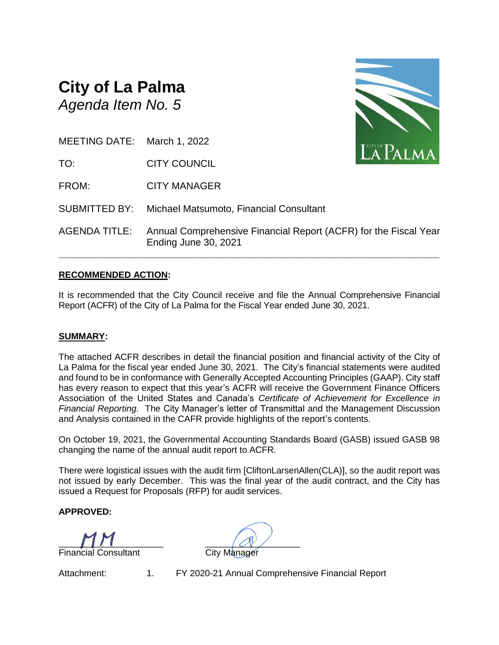## **City of La Palma** *Agenda Item No. 5*



TO: CITY COUNCIL

FROM: CITY MANAGER

SUBMITTED BY: Michael Matsumoto, Financial Consultant

AGENDA TITLE: Annual Comprehensive Financial Report (ACFR) for the Fiscal Year Ending June 30, 2021

**\_\_\_\_\_\_\_\_\_\_\_\_\_\_\_\_\_\_\_\_\_\_\_\_\_\_\_\_\_\_\_\_\_\_\_\_\_\_\_\_\_\_\_\_\_\_\_\_\_\_\_\_\_\_\_\_\_\_\_\_\_\_\_\_\_\_\_\_\_\_**

## **RECOMMENDED ACTION:**

It is recommended that the City Council receive and file the Annual Comprehensive Financial Report (ACFR) of the City of La Palma for the Fiscal Year ended June 30, 2021.

## **SUMMARY:**

The attached ACFR describes in detail the financial position and financial activity of the City of La Palma for the fiscal year ended June 30, 2021. The City's financial statements were audited and found to be in conformance with Generally Accepted Accounting Principles (GAAP). City staff has every reason to expect that this year's ACFR will receive the Government Finance Officers Association of the United States and Canada's *Certificate of Achievement for Excellence in Financial Reporting.* The City Manager's letter of Transmittal and the Management Discussion and Analysis contained in the CAFR provide highlights of the report's contents.

On October 19, 2021, the Governmental Accounting Standards Board (GASB) issued GASB 98 changing the name of the annual audit report to ACFR.

There were logistical issues with the audit firm [CliftonLarsenAllen(CLA)], so the audit report was not issued by early December. This was the final year of the audit contract, and the City has issued a Request for Proposals (RFP) for audit services.

**APPROVED:**

 $\Box$ **Financial Consultant** City Manager

Attachment: 1. FY 2020-21 Annual Comprehensive Financial Report